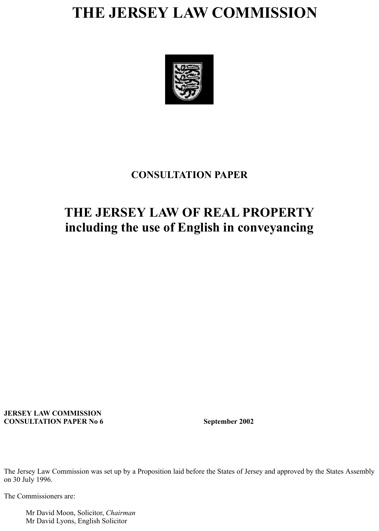# **THE JERSEY LAW COMMISSION**



## **CONSULTATION PAPER**

## **THE JERSEY LAW OF REAL PROPERTY including the use of English in conveyancing**

#### **JERSEY LAW COMMISSION CONSULTATION PAPER No 6 September 2002**

The Jersey Law Commission was set up by a Proposition laid before the States of Jersey and approved by the States Assembly on 30 July 1996.

The Commissioners are:

 Mr David Moon, Solicitor, *Chairman* Mr David Lyons, English Solicitor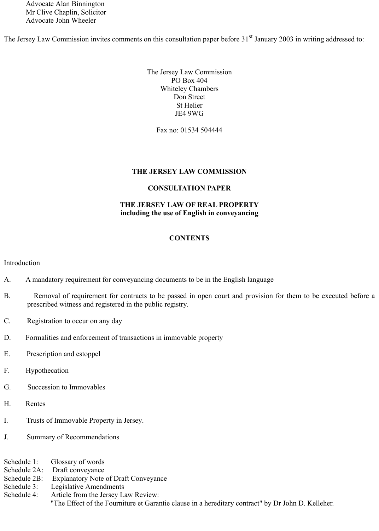Advocate Alan Binnington Mr Clive Chaplin, Solicitor Advocate John Wheeler

The Jersey Law Commission invites comments on this consultation paper before 31<sup>st</sup> January 2003 in writing addressed to:

The Jersey Law Commission PO Box 404 Whiteley Chambers Don Street St Helier JE4 9WG

Fax no: 01534 504444

#### **THE JERSEY LAW COMMISSION**

#### **CONSULTATION PAPER**

#### **THE JERSEY LAW OF REAL PROPERTY including the use of English in conveyancing**

#### **CONTENTS**

Introduction

- A. A mandatory requirement for conveyancing documents to be in the English language
- B. Removal of requirement for contracts to be passed in open court and provision for them to be executed before a prescribed witness and registered in the public registry.
- C. Registration to occur on any day
- D. Formalities and enforcement of transactions in immovable property
- E. Prescription and estoppel
- F. Hypothecation
- G. Succession to Immovables
- H. Rentes
- I. Trusts of Immovable Property in Jersey.
- J. Summary of Recommendations

Schedule 1: Glossary of words Schedule 2A: Draft conveyance Schedule 2B: Explanatory Note of Draft Conveyance Schedule 3: Legislative Amendments Schedule 4: Article from the Jersey Law Review: "The Effect of the Fourniture et Garantie clause in a hereditary contract" by Dr John D. Kelleher.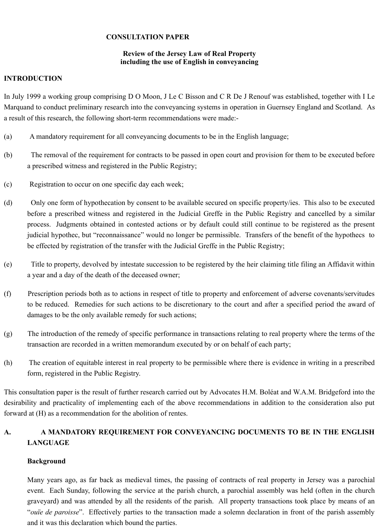#### **CONSULTATION PAPER**

#### **Review of the Jersey Law of Real Property including the use of English in conveyancing**

#### **INTRODUCTION**

In July 1999 a working group comprising D O Moon, J Le C Bisson and C R De J Renouf was established, together with I Le Marquand to conduct preliminary research into the conveyancing systems in operation in Guernsey England and Scotland. As a result of this research, the following short-term recommendations were made:-

- (a) A mandatory requirement for all conveyancing documents to be in the English language;
- (b) The removal of the requirement for contracts to be passed in open court and provision for them to be executed before a prescribed witness and registered in the Public Registry;
- (c) Registration to occur on one specific day each week;
- (d) Only one form of hypothecation by consent to be available secured on specific property/ies. This also to be executed before a prescribed witness and registered in the Judicial Greffe in the Public Registry and cancelled by a similar process. Judgments obtained in contested actions or by default could still continue to be registered as the present judicial hypothec, but "reconnaissance" would no longer be permissible. Transfers of the benefit of the hypothecs to be effected by registration of the transfer with the Judicial Greffe in the Public Registry;
- (e) Title to property, devolved by intestate succession to be registered by the heir claiming title filing an Affidavit within a year and a day of the death of the deceased owner;
- (f) Prescription periods both as to actions in respect of title to property and enforcement of adverse covenants/servitudes to be reduced. Remedies for such actions to be discretionary to the court and after a specified period the award of damages to be the only available remedy for such actions;
- (g) The introduction of the remedy of specific performance in transactions relating to real property where the terms of the transaction are recorded in a written memorandum executed by or on behalf of each party;
- (h) The creation of equitable interest in real property to be permissible where there is evidence in writing in a prescribed form, registered in the Public Registry.

This consultation paper is the result of further research carried out by Advocates H.M. Boléat and W.A.M. Bridgeford into the desirability and practicality of implementing each of the above recommendations in addition to the consideration also put forward at (H) as a recommendation for the abolition of rentes.

## **A. A MANDATORY REQUIREMENT FOR CONVEYANCING DOCUMENTS TO BE IN THE ENGLISH LANGUAGE**

## **Background**

Many years ago, as far back as medieval times, the passing of contracts of real property in Jersey was a parochial event. Each Sunday, following the service at the parish church, a parochial assembly was held (often in the church graveyard) and was attended by all the residents of the parish. All property transactions took place by means of an "*ouïe de paroisse*". Effectively parties to the transaction made a solemn declaration in front of the parish assembly and it was this declaration which bound the parties.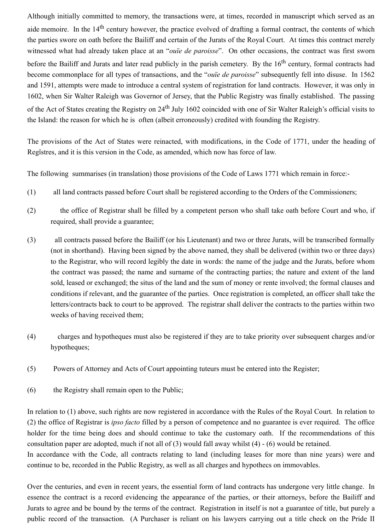Although initially committed to memory, the transactions were, at times, recorded in manuscript which served as an aide memoire. In the 14<sup>th</sup> century however, the practice evolved of drafting a formal contract, the contents of which the parties swore on oath before the Bailiff and certain of the Jurats of the Royal Court. At times this contract merely witnessed what had already taken place at an "*ouïe de paroisse*". On other occasions, the contract was first sworn before the Bailiff and Jurats and later read publicly in the parish cemetery. By the 16<sup>th</sup> century, formal contracts had become commonplace for all types of transactions, and the "*ouïe de paroisse*" subsequently fell into disuse. In 1562 and 1591, attempts were made to introduce a central system of registration for land contracts. However, it was only in 1602, when Sir Walter Raleigh was Governor of Jersey, that the Public Registry was finally established. The passing of the Act of States creating the Registry on 24<sup>th</sup> July 1602 coincided with one of Sir Walter Raleigh's official visits to the Island: the reason for which he is often (albeit erroneously) credited with founding the Registry.

The provisions of the Act of States were reinacted, with modifications, in the Code of 1771, under the heading of Regîstres, and it is this version in the Code, as amended, which now has force of law.

The following summarises (in translation) those provisions of the Code of Laws 1771 which remain in force:-

- (1) all land contracts passed before Court shall be registered according to the Orders of the Commissioners;
- (2) the office of Registrar shall be filled by a competent person who shall take oath before Court and who, if required, shall provide a guarantee;
- (3) all contracts passed before the Bailiff (or his Lieutenant) and two or three Jurats, will be transcribed formally (not in shorthand). Having been signed by the above named, they shall be delivered (within two or three days) to the Registrar, who will record legibly the date in words: the name of the judge and the Jurats, before whom the contract was passed; the name and surname of the contracting parties; the nature and extent of the land sold, leased or exchanged; the situs of the land and the sum of money or rente involved; the formal clauses and conditions if relevant, and the guarantee of the parties. Once registration is completed, an officer shall take the letters/contracts back to court to be approved. The registrar shall deliver the contracts to the parties within two weeks of having received them;
- (4) charges and hypotheques must also be registered if they are to take priority over subsequent charges and/or hypotheques;
- (5) Powers of Attorney and Acts of Court appointing tuteurs must be entered into the Register;
- (6) the Registry shall remain open to the Public;

In relation to (1) above, such rights are now registered in accordance with the Rules of the Royal Court. In relation to (2) the office of Registrar is *ipso facto* filled by a person of competence and no guarantee is ever required. The office holder for the time being does and should continue to take the customary oath. If the recommendations of this consultation paper are adopted, much if not all of (3) would fall away whilst (4) - (6) would be retained.

In accordance with the Code, all contracts relating to land (including leases for more than nine years) were and continue to be, recorded in the Public Registry, as well as all charges and hypothecs on immovables.

Over the centuries, and even in recent years, the essential form of land contracts has undergone very little change. In essence the contract is a record evidencing the appearance of the parties, or their attorneys, before the Bailiff and Jurats to agree and be bound by the terms of the contract. Registration in itself is not a guarantee of title, but purely a public record of the transaction. (A Purchaser is reliant on his lawyers carrying out a title check on the Pride II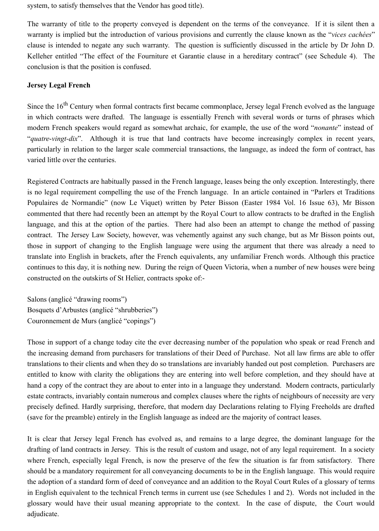system, to satisfy themselves that the Vendor has good title).

The warranty of title to the property conveyed is dependent on the terms of the conveyance. If it is silent then a warranty is implied but the introduction of various provisions and currently the clause known as the "*vices cachées*" clause is intended to negate any such warranty. The question is sufficiently discussed in the article by Dr John D. Kelleher entitled "The effect of the Fourniture et Garantie clause in a hereditary contract" (see Schedule 4). The conclusion is that the position is confused.

#### **Jersey Legal French**

Since the 16<sup>th</sup> Century when formal contracts first became commonplace, Jersey legal French evolved as the language in which contracts were drafted. The language is essentially French with several words or turns of phrases which modern French speakers would regard as somewhat archaic, for example, the use of the word "*nonante*" instead of "*quatre*-*vingt-dix*". Although it is true that land contracts have become increasingly complex in recent years, particularly in relation to the larger scale commercial transactions, the language, as indeed the form of contract, has varied little over the centuries.

Registered Contracts are habitually passed in the French language, leases being the only exception. Interestingly, there is no legal requirement compelling the use of the French language. In an article contained in "Parlers et Traditions Populaires de Normandie" (now Le Viquet) written by Peter Bisson (Easter 1984 Vol. 16 Issue 63), Mr Bisson commented that there had recently been an attempt by the Royal Court to allow contracts to be drafted in the English language, and this at the option of the parties. There had also been an attempt to change the method of passing contract. The Jersey Law Society, however, was vehemently against any such change, but as Mr Bisson points out, those in support of changing to the English language were using the argument that there was already a need to translate into English in brackets, after the French equivalents, any unfamiliar French words. Although this practice continues to this day, it is nothing new. During the reign of Queen Victoria, when a number of new houses were being constructed on the outskirts of St Helier, contracts spoke of:-

Salons (anglicé "drawing rooms") Bosquets d'Arbustes (anglicé "shrubberies") Couronnement de Murs (anglicé "copings")

Those in support of a change today cite the ever decreasing number of the population who speak or read French and the increasing demand from purchasers for translations of their Deed of Purchase. Not all law firms are able to offer translations to their clients and when they do so translations are invariably handed out post completion. Purchasers are entitled to know with clarity the obligations they are entering into well before completion, and they should have at hand a copy of the contract they are about to enter into in a language they understand. Modern contracts, particularly estate contracts, invariably contain numerous and complex clauses where the rights of neighbours of necessity are very precisely defined. Hardly surprising, therefore, that modern day Declarations relating to Flying Freeholds are drafted (save for the preamble) entirely in the English language as indeed are the majority of contract leases.

It is clear that Jersey legal French has evolved as, and remains to a large degree, the dominant language for the drafting of land contracts in Jersey. This is the result of custom and usage, not of any legal requirement. In a society where French, especially legal French, is now the preserve of the few the situation is far from satisfactory. There should be a mandatory requirement for all conveyancing documents to be in the English language. This would require the adoption of a standard form of deed of conveyance and an addition to the Royal Court Rules of a glossary of terms in English equivalent to the technical French terms in current use (see Schedules 1 and 2). Words not included in the glossary would have their usual meaning appropriate to the context. In the case of dispute, the Court would adjudicate.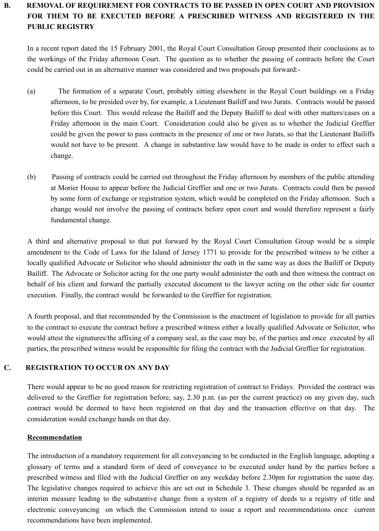## **B. REMOVAL OF REQUIREMENT FOR CONTRACTS TO BE PASSED IN OPEN COURT AND PROVISION FOR THEM TO BE EXECUTED BEFORE A PRESCRIBED WITNESS AND REGISTERED IN THE PUBLIC REGISTRY**

In a recent report dated the 15 February 2001, the Royal Court Consultation Group presented their conclusions as to the workings of the Friday afternoon Court. The question as to whether the passing of contracts before the Court could be carried out in an alternative manner was considered and two proposals put forward:-

- (a) The formation of a separate Court, probably sitting elsewhere in the Royal Court buildings on a Friday afternoon, to be presided over by, for example, a Lieutenant Bailiff and two Jurats. Contracts would be passed before this Court. This would release the Bailiff and the Deputy Bailiff to deal with other matters/cases on a Friday afternoon in the main Court. Consideration could also be given as to whether the Judicial Greffier could be given the power to pass contracts in the presence of one or two Jurats, so that the Lieutenant Bailiffs would not have to be present. A change in substantive law would have to be made in order to effect such a change.
- (b) Passing of contracts could be carried out throughout the Friday afternoon by members of the public attending at Morier House to appear before the Judicial Greffier and one or two Jurats. Contracts could then be passed by some form of exchange or registration system, which would be completed on the Friday afternoon. Such a change would not involve the passing of contracts before open court and would therefore represent a fairly fundamental change.

A third and alternative proposal to that put forward by the Royal Court Consultation Group would be a simple amendment to the Code of Laws for the Island of Jersey 1771 to provide for the prescribed witness to be either a locally qualified Advocate or Solicitor who should administer the oath in the same way as does the Bailiff or Deputy Bailiff. The Advocate or Solicitor acting for the one party would administer the oath and then witness the contract on behalf of his client and forward the partially executed document to the lawyer acting on the other side for counter execution. Finally, the contract would be forwarded to the Greffier for registration.

A fourth proposal, and that recommended by the Commission is the enactment of legislation to provide for all parties to the contract to execute the contract before a prescribed witness either a locally qualified Advocate or Solicitor, who would attest the signatures/the affixing of a company seal, as the case may be, of the parties and once executed by all parties, the prescribed witness would be responsible for filing the contract with the Judicial Greffier for registration.

## **C. REGISTRATION TO OCCUR ON ANY DAY**

There would appear to be no good reason for restricting registration of contract to Fridays. Provided the contract was delivered to the Greffier for registration before, say, 2.30 p.m. (as per the current practice) on any given day, such contract would be deemed to have been registered on that day and the transaction effective on that day. The consideration would exchange hands on that day.

## **Recommendation**

The introduction of a mandatory requirement for all conveyancing to be conducted in the English language, adopting a glossary of terms and a standard form of deed of conveyance to be executed under hand by the parties before a prescribed witness and filed with the Judicial Greffier on any weekday before 2.30pm for registration the same day. The legislative changes required to achieve this are set out in Schedule 3. These changes should be regarded as an interim measure leading to the substantive change from a system of a registry of deeds to a registry of title and electronic conveyancing on which the Commission intend to issue a report and recommendations once current recommendations have been implemented.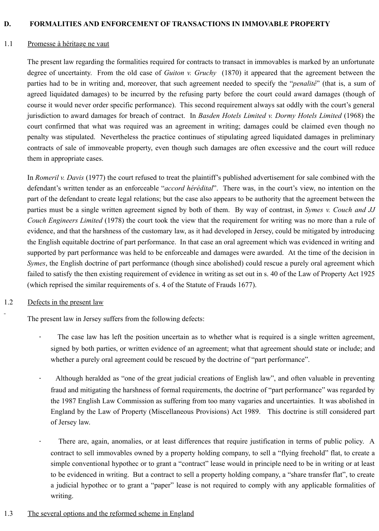#### **D. FORMALITIES AND ENFORCEMENT OF TRANSACTIONS IN IMMOVABLE PROPERTY**

#### 1.1 Promesse à héritage ne vaut

The present law regarding the formalities required for contracts to transact in immovables is marked by an unfortunate degree of uncertainty. From the old case of *Guiton v. Gruchy* (1870) it appeared that the agreement between the parties had to be in writing and, moreover, that such agreement needed to specify the "*penalité*" (that is, a sum of agreed liquidated damages) to be incurred by the refusing party before the court could award damages (though of course it would never order specific performance). This second requirement always sat oddly with the court's general jurisdiction to award damages for breach of contract. In *Basden Hotels Limited v. Dormy Hotels Limited* (1968) the court confirmed that what was required was an agreement in writing; damages could be claimed even though no penalty was stipulated. Nevertheless the practice continues of stipulating agreed liquidated damages in preliminary contracts of sale of immoveable property, even though such damages are often excessive and the court will reduce them in appropriate cases.

In *Romeril v. Davis* (1977) the court refused to treat the plaintiff's published advertisement for sale combined with the defendant's written tender as an enforceable "*accord hérédital*". There was, in the court's view, no intention on the part of the defendant to create legal relations; but the case also appears to be authority that the agreement between the parties must be a single written agreement signed by both of them. By way of contrast, in *Symes v. Couch and JJ Couch Engineers Limited* (1978) the court took the view that the requirement for writing was no more than a rule of evidence, and that the harshness of the customary law, as it had developed in Jersey, could be mitigated by introducing the English equitable doctrine of part performance. In that case an oral agreement which was evidenced in writing and supported by part performance was held to be enforceable and damages were awarded. At the time of the decision in *Symes*, the English doctrine of part performance (though since abolished) could rescue a purely oral agreement which failed to satisfy the then existing requirement of evidence in writing as set out in s. 40 of the Law of Property Act 1925 (which reprised the similar requirements of s. 4 of the Statute of Frauds 1677).

#### 1.2 Defects in the present law

The present law in Jersey suffers from the following defects:

- The case law has left the position uncertain as to whether what is required is a single written agreement, signed by both parties, or written evidence of an agreement; what that agreement should state or include; and whether a purely oral agreement could be rescued by the doctrine of "part performance".
- · Although heralded as "one of the great judicial creations of English law", and often valuable in preventing fraud and mitigating the harshness of formal requirements, the doctrine of "part performance" was regarded by the 1987 English Law Commission as suffering from too many vagaries and uncertainties. It was abolished in England by the Law of Property (Miscellaneous Provisions) Act 1989. This doctrine is still considered part of Jersey law.
	- There are, again, anomalies, or at least differences that require justification in terms of public policy. A contract to sell immovables owned by a property holding company, to sell a "flying freehold" flat, to create a simple conventional hypothec or to grant a "contract" lease would in principle need to be in writing or at least to be evidenced in writing. But a contract to sell a property holding company, a "share transfer flat", to create a judicial hypothec or to grant a "paper" lease is not required to comply with any applicable formalities of writing.
- 1.3 The several options and the reformed scheme in England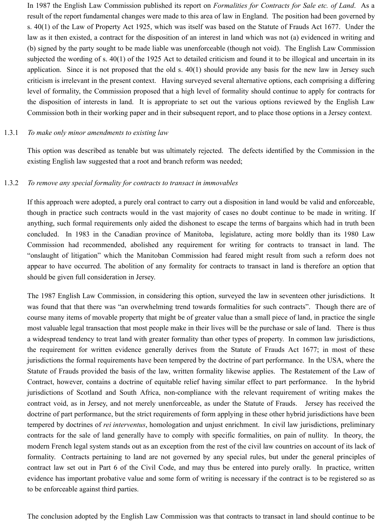In 1987 the English Law Commission published its report on *Formalities for Contracts for Sale etc. of Land*. As a result of the report fundamental changes were made to this area of law in England. The position had been governed by s. 40(1) of the Law of Property Act 1925, which was itself was based on the Statute of Frauds Act 1677. Under the law as it then existed, a contract for the disposition of an interest in land which was not (a) evidenced in writing and (b) signed by the party sought to be made liable was unenforceable (though not void). The English Law Commission subjected the wording of s. 40(1) of the 1925 Act to detailed criticism and found it to be illogical and uncertain in its application. Since it is not proposed that the old s. 40(1) should provide any basis for the new law in Jersey such criticism is irrelevant in the present context. Having surveyed several alternative options, each comprising a differing level of formality, the Commission proposed that a high level of formality should continue to apply for contracts for the disposition of interests in land. It is appropriate to set out the various options reviewed by the English Law Commission both in their working paper and in their subsequent report, and to place those options in a Jersey context.

#### 1.3.1 *To make only minor amendments to existing law*

This option was described as tenable but was ultimately rejected. The defects identified by the Commission in the existing English law suggested that a root and branch reform was needed;

#### 1.3.2 *To remove any special formality for contracts to transact in immovables*

If this approach were adopted, a purely oral contract to carry out a disposition in land would be valid and enforceable, though in practice such contracts would in the vast majority of cases no doubt continue to be made in writing. If anything, such formal requirements only aided the dishonest to escape the terms of bargains which had in truth been concluded. In 1983 in the Canadian province of Manitoba, legislature, acting more boldly than its 1980 Law Commission had recommended, abolished any requirement for writing for contracts to transact in land. The "onslaught of litigation" which the Manitoban Commission had feared might result from such a reform does not appear to have occurred. The abolition of any formality for contracts to transact in land is therefore an option that should be given full consideration in Jersey.

The 1987 English Law Commission, in considering this option, surveyed the law in seventeen other jurisdictions. It was found that that there was "an overwhelming trend towards formalities for such contracts". Though there are of course many items of movable property that might be of greater value than a small piece of land, in practice the single most valuable legal transaction that most people make in their lives will be the purchase or sale of land. There is thus a widespread tendency to treat land with greater formality than other types of property. In common law jurisdictions, the requirement for written evidence generally derives from the Statute of Frauds Act 1677; in most of these jurisdictions the formal requirements have been tempered by the doctrine of part performance. In the USA, where the Statute of Frauds provided the basis of the law, written formality likewise applies. The Restatement of the Law of Contract, however, contains a doctrine of equitable relief having similar effect to part performance. In the hybrid jurisdictions of Scotland and South Africa, non-compliance with the relevant requirement of writing makes the contract void, as in Jersey, and not merely unenforceable, as under the Statute of Frauds. Jersey has received the doctrine of part performance, but the strict requirements of form applying in these other hybrid jurisdictions have been tempered by doctrines of *rei interventus*, homologation and unjust enrichment. In civil law jurisdictions, preliminary contracts for the sale of land generally have to comply with specific formalities, on pain of nullity. In theory, the modern French legal system stands out as an exception from the rest of the civil law countries on account of its lack of formality. Contracts pertaining to land are not governed by any special rules, but under the general principles of contract law set out in Part 6 of the Civil Code, and may thus be entered into purely orally. In practice, written evidence has important probative value and some form of writing is necessary if the contract is to be registered so as to be enforceable against third parties.

The conclusion adopted by the English Law Commission was that contracts to transact in land should continue to be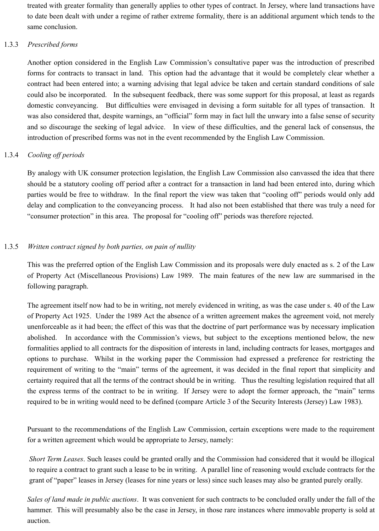treated with greater formality than generally applies to other types of contract. In Jersey, where land transactions have to date been dealt with under a regime of rather extreme formality, there is an additional argument which tends to the same conclusion.

#### 1.3.3 *Prescribed forms*

Another option considered in the English Law Commission's consultative paper was the introduction of prescribed forms for contracts to transact in land. This option had the advantage that it would be completely clear whether a contract had been entered into; a warning advising that legal advice be taken and certain standard conditions of sale could also be incorporated. In the subsequent feedback, there was some support for this proposal, at least as regards domestic conveyancing. But difficulties were envisaged in devising a form suitable for all types of transaction. It was also considered that, despite warnings, an "official" form may in fact lull the unwary into a false sense of security and so discourage the seeking of legal advice. In view of these difficulties, and the general lack of consensus, the introduction of prescribed forms was not in the event recommended by the English Law Commission.

#### 1.3.4 *Cooling off periods*

By analogy with UK consumer protection legislation, the English Law Commission also canvassed the idea that there should be a statutory cooling off period after a contract for a transaction in land had been entered into, during which parties would be free to withdraw. In the final report the view was taken that "cooling off" periods would only add delay and complication to the conveyancing process. It had also not been established that there was truly a need for "consumer protection" in this area. The proposal for "cooling off" periods was therefore rejected.

#### 1.3.5 *Written contract signed by both parties, on pain of nullity*

This was the preferred option of the English Law Commission and its proposals were duly enacted as s. 2 of the Law of Property Act (Miscellaneous Provisions) Law 1989. The main features of the new law are summarised in the following paragraph.

The agreement itself now had to be in writing, not merely evidenced in writing, as was the case under s. 40 of the Law of Property Act 1925. Under the 1989 Act the absence of a written agreement makes the agreement void, not merely unenforceable as it had been; the effect of this was that the doctrine of part performance was by necessary implication abolished. In accordance with the Commission's views, but subject to the exceptions mentioned below, the new formalities applied to all contracts for the disposition of interests in land, including contracts for leases, mortgages and options to purchase. Whilst in the working paper the Commission had expressed a preference for restricting the requirement of writing to the "main" terms of the agreement, it was decided in the final report that simplicity and certainty required that all the terms of the contract should be in writing. Thus the resulting legislation required that all the express terms of the contract to be in writing. If Jersey were to adopt the former approach, the "main" terms required to be in writing would need to be defined (compare Article 3 of the Security Interests (Jersey) Law 1983).

Pursuant to the recommendations of the English Law Commission, certain exceptions were made to the requirement for a written agreement which would be appropriate to Jersey, namely:

*Short Term Leases*. Such leases could be granted orally and the Commission had considered that it would be illogical to require a contract to grant such a lease to be in writing. A parallel line of reasoning would exclude contracts for the grant of "paper" leases in Jersey (leases for nine years or less) since such leases may also be granted purely orally.

*Sales of land made in public auctions*. It was convenient for such contracts to be concluded orally under the fall of the hammer. This will presumably also be the case in Jersey, in those rare instances where immovable property is sold at auction.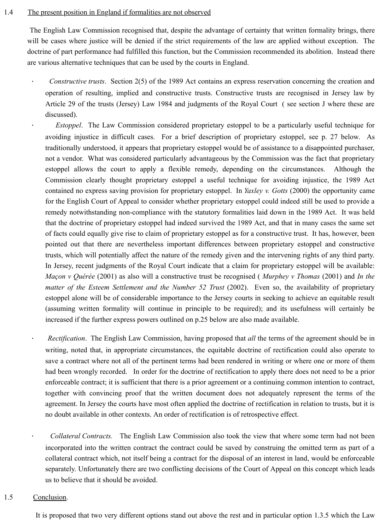#### 1.4 The present position in England if formalities are not observed

 The English Law Commission recognised that, despite the advantage of certainty that written formality brings, there will be cases where justice will be denied if the strict requirements of the law are applied without exception. The doctrine of part performance had fulfilled this function, but the Commission recommended its abolition. Instead there are various alternative techniques that can be used by the courts in England.

· *Constructive trusts*. Section 2(5) of the 1989 Act contains an express reservation concerning the creation and operation of resulting, implied and constructive trusts. Constructive trusts are recognised in Jersey law by Article 29 of the trusts (Jersey) Law 1984 and judgments of the Royal Court ( see section J where these are discussed).

*Estoppel*. The Law Commission considered proprietary estoppel to be a particularly useful technique for avoiding injustice in difficult cases. For a brief description of proprietary estoppel, see p. 27 below. As traditionally understood, it appears that proprietary estoppel would be of assistance to a disappointed purchaser, not a vendor. What was considered particularly advantageous by the Commission was the fact that proprietary estoppel allows the court to apply a flexible remedy, depending on the circumstances. Although the Commission clearly thought proprietary estoppel a useful technique for avoiding injustice, the 1989 Act contained no express saving provision for proprietary estoppel. In *Yaxley v. Gotts* (2000) the opportunity came for the English Court of Appeal to consider whether proprietary estoppel could indeed still be used to provide a remedy notwithstanding non-compliance with the statutory formalities laid down in the 1989 Act. It was held that the doctrine of proprietary estoppel had indeed survived the 1989 Act, and that in many cases the same set of facts could equally give rise to claim of proprietary estoppel as for a constructive trust. It has, however, been pointed out that there are nevertheless important differences between proprietary estoppel and constructive trusts, which will potentially affect the nature of the remedy given and the intervening rights of any third party. In Jersey, recent judgments of the Royal Court indicate that a claim for proprietary estoppel will be available: *Maçon v Quérée* (2001) as also will a constructive trust be recognised ( *Murphey v Thomas* (2001) and *In the matter of the Esteem Settlement and the Number 52 Trust* (2002). Even so, the availability of proprietary estoppel alone will be of considerable importance to the Jersey courts in seeking to achieve an equitable result (assuming written formality will continue in principle to be required); and its usefulness will certainly be increased if the further express powers outlined on p.25 below are also made available.

*Rectification*. The English Law Commission, having proposed that *all* the terms of the agreement should be in writing, noted that, in appropriate circumstances, the equitable doctrine of rectification could also operate to save a contract where not all of the pertinent terms had been rendered in writing or where one or more of them had been wrongly recorded. In order for the doctrine of rectification to apply there does not need to be a prior enforceable contract; it is sufficient that there is a prior agreement or a continuing common intention to contract, together with convincing proof that the written document does not adequately represent the terms of the agreement. In Jersey the courts have most often applied the doctrine of rectification in relation to trusts, but it is no doubt available in other contexts. An order of rectification is of retrospective effect.

· *Collateral Contracts.* The English Law Commission also took the view that where some term had not been incorporated into the written contract the contract could be saved by construing the omitted term as part of a collateral contract which, not itself being a contract for the disposal of an interest in land, would be enforceable separately. Unfortunately there are two conflicting decisions of the Court of Appeal on this concept which leads us to believe that it should be avoided.

#### 1.5 Conclusion.

It is proposed that two very different options stand out above the rest and in particular option 1.3.5 which the Law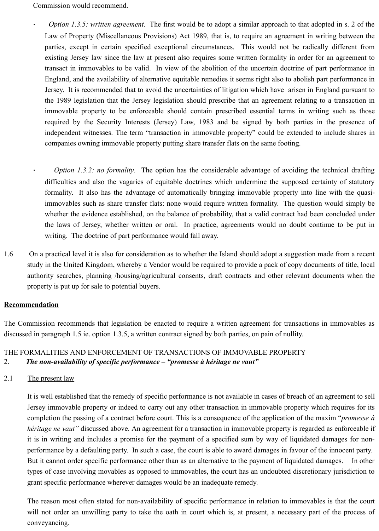Commission would recommend.

· *Option 1.3.5: written agreement*. The first would be to adopt a similar approach to that adopted in s. 2 of the Law of Property (Miscellaneous Provisions) Act 1989, that is, to require an agreement in writing between the parties, except in certain specified exceptional circumstances. This would not be radically different from existing Jersey law since the law at present also requires some written formality in order for an agreement to transact in immovables to be valid. In view of the abolition of the uncertain doctrine of part performance in England, and the availability of alternative equitable remedies it seems right also to abolish part performance in Jersey. It is recommended that to avoid the uncertainties of litigation which have arisen in England pursuant to the 1989 legislation that the Jersey legislation should prescribe that an agreement relating to a transaction in immovable property to be enforceable should contain prescribed essential terms in writing such as those required by the Security Interests (Jersey) Law, 1983 and be signed by both parties in the presence of independent witnesses. The term "transaction in immovable property" could be extended to include shares in companies owning immovable property putting share transfer flats on the same footing.

*Option 1.3.2: no formality*. The option has the considerable advantage of avoiding the technical drafting difficulties and also the vagaries of equitable doctrines which undermine the supposed certainty of statutory formality. It also has the advantage of automatically bringing immovable property into line with the quasiimmovables such as share transfer flats: none would require written formality. The question would simply be whether the evidence established, on the balance of probability, that a valid contract had been concluded under the laws of Jersey, whether written or oral. In practice, agreements would no doubt continue to be put in writing. The doctrine of part performance would fall away.

1.6 On a practical level it is also for consideration as to whether the Island should adopt a suggestion made from a recent study in the United Kingdom, whereby a Vendor would be required to provide a pack of copy documents of title, local authority searches, planning /housing/agricultural consents, draft contracts and other relevant documents when the property is put up for sale to potential buyers.

#### **Recommendation**

The Commission recommends that legislation be enacted to require a written agreement for transactions in immovables as discussed in paragraph 1.5 ie. option 1.3.5, a written contract signed by both parties, on pain of nullity.

## THE FORMALITIES AND ENFORCEMENT OF TRANSACTIONS OF IMMOVABLE PROPERTY 2. *The non-availability of specific performance – "promesse à héritage ne vaut"*

2.1 The present law

It is well established that the remedy of specific performance is not available in cases of breach of an agreement to sell Jersey immovable property or indeed to carry out any other transaction in immovable property which requires for its completion the passing of a contract before court. This is a consequence of the application of the maxim "*promesse à héritage ne vaut"* discussed above. An agreement for a transaction in immovable property is regarded as enforceable if it is in writing and includes a promise for the payment of a specified sum by way of liquidated damages for nonperformance by a defaulting party. In such a case, the court is able to award damages in favour of the innocent party. But it cannot order specific performance other than as an alternative to the payment of liquidated damages. In other types of case involving movables as opposed to immovables, the court has an undoubted discretionary jurisdiction to grant specific performance wherever damages would be an inadequate remedy.

The reason most often stated for non-availability of specific performance in relation to immovables is that the court will not order an unwilling party to take the oath in court which is, at present, a necessary part of the process of conveyancing.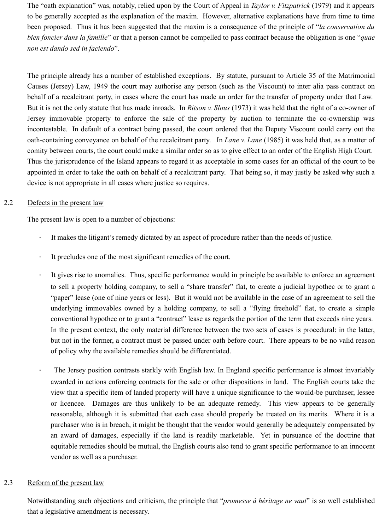The "oath explanation" was, notably, relied upon by the Court of Appeal in *Taylor v. Fitzpatrick* (1979) and it appears to be generally accepted as the explanation of the maxim. However, alternative explanations have from time to time been proposed. Thus it has been suggested that the maxim is a consequence of the principle of "*la conservation du bien foncier dans la famille*" or that a person cannot be compelled to pass contract because the obligation is one "*quae non est dando sed in faciendo*".

The principle already has a number of established exceptions. By statute, pursuant to Article 35 of the Matrimonial Causes (Jersey) Law, 1949 the court may authorise any person (such as the Viscount) to inter alia pass contract on behalf of a recalcitrant party, in cases where the court has made an order for the transfer of property under that Law. But it is not the only statute that has made inroads. In *Ritson v. Slous* (1973) it was held that the right of a co-owner of Jersey immovable property to enforce the sale of the property by auction to terminate the co-ownership was incontestable. In default of a contract being passed, the court ordered that the Deputy Viscount could carry out the oath-containing conveyance on behalf of the recalcitrant party. In *Lane v. Lane* (1985) it was held that, as a matter of comity between courts, the court could make a similar order so as to give effect to an order of the English High Court. Thus the jurisprudence of the Island appears to regard it as acceptable in some cases for an official of the court to be appointed in order to take the oath on behalf of a recalcitrant party. That being so, it may justly be asked why such a device is not appropriate in all cases where justice so requires.

## 2.2 Defects in the present law

The present law is open to a number of objections:

- It makes the litigant's remedy dictated by an aspect of procedure rather than the needs of justice.
- It precludes one of the most significant remedies of the court.
- · It gives rise to anomalies. Thus, specific performance would in principle be available to enforce an agreement to sell a property holding company, to sell a "share transfer" flat, to create a judicial hypothec or to grant a "paper" lease (one of nine years or less). But it would not be available in the case of an agreement to sell the underlying immovables owned by a holding company, to sell a "flying freehold" flat, to create a simple conventional hypothec or to grant a "contract" lease as regards the portion of the term that exceeds nine years. In the present context, the only material difference between the two sets of cases is procedural: in the latter, but not in the former, a contract must be passed under oath before court. There appears to be no valid reason of policy why the available remedies should be differentiated.
	- The Jersey position contrasts starkly with English law. In England specific performance is almost invariably awarded in actions enforcing contracts for the sale or other dispositions in land. The English courts take the view that a specific item of landed property will have a unique significance to the would-be purchaser, lessee or licencee. Damages are thus unlikely to be an adequate remedy. This view appears to be generally reasonable, although it is submitted that each case should properly be treated on its merits. Where it is a purchaser who is in breach, it might be thought that the vendor would generally be adequately compensated by an award of damages, especially if the land is readily marketable. Yet in pursuance of the doctrine that equitable remedies should be mutual, the English courts also tend to grant specific performance to an innocent vendor as well as a purchaser.

## 2.3 Reform of the present law

Notwithstanding such objections and criticism, the principle that "*promesse à héritage ne vaut*" is so well established that a legislative amendment is necessary.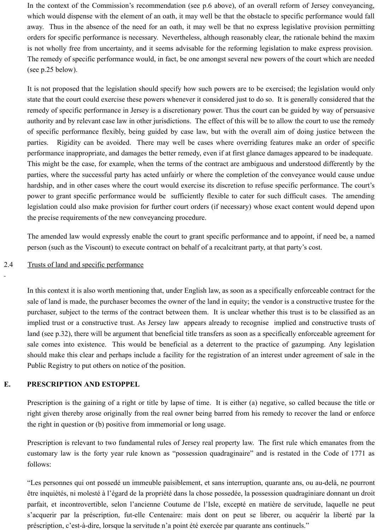In the context of the Commission's recommendation (see p.6 above), of an overall reform of Jersey conveyancing, which would dispense with the element of an oath, it may well be that the obstacle to specific performance would fall away. Thus in the absence of the need for an oath, it may well be that no express legislative provision permitting orders for specific performance is necessary. Nevertheless, although reasonably clear, the rationale behind the maxim is not wholly free from uncertainty, and it seems advisable for the reforming legislation to make express provision. The remedy of specific performance would, in fact, be one amongst several new powers of the court which are needed (see p.25 below).

It is not proposed that the legislation should specify how such powers are to be exercised; the legislation would only state that the court could exercise these powers whenever it considered just to do so. It is generally considered that the remedy of specific performance in Jersey is a discretionary power. Thus the court can be guided by way of persuasive authority and by relevant case law in other jurisdictions. The effect of this will be to allow the court to use the remedy of specific performance flexibly, being guided by case law, but with the overall aim of doing justice between the parties. Rigidity can be avoided. There may well be cases where overriding features make an order of specific performance inappropriate, and damages the better remedy, even if at first glance damages appeared to be inadequate. This might be the case, for example, when the terms of the contract are ambiguous and understood differently by the parties, where the successful party has acted unfairly or where the completion of the conveyance would cause undue hardship, and in other cases where the court would exercise its discretion to refuse specific performance. The court's power to grant specific performance would be sufficiently flexible to cater for such difficult cases. The amending legislation could also make provision for further court orders (if necessary) whose exact content would depend upon the precise requirements of the new conveyancing procedure.

The amended law would expressly enable the court to grant specific performance and to appoint, if need be, a named person (such as the Viscount) to execute contract on behalf of a recalcitrant party, at that party's cost.

#### 2.4 Trusts of land and specific performance

In this context it is also worth mentioning that, under English law, as soon as a specifically enforceable contract for the sale of land is made, the purchaser becomes the owner of the land in equity; the vendor is a constructive trustee for the purchaser, subject to the terms of the contract between them. It is unclear whether this trust is to be classified as an implied trust or a constructive trust. As Jersey law appears already to recognise implied and constructive trusts of land (see p.32), there will be argument that beneficial title transfers as soon as a specifically enforceable agreement for sale comes into existence. This would be beneficial as a deterrent to the practice of gazumping. Any legislation should make this clear and perhaps include a facility for the registration of an interest under agreement of sale in the Public Registry to put others on notice of the position.

#### **E. PRESCRIPTION AND ESTOPPEL**

Prescription is the gaining of a right or title by lapse of time. It is either (a) negative, so called because the title or right given thereby arose originally from the real owner being barred from his remedy to recover the land or enforce the right in question or (b) positive from immemorial or long usage.

Prescription is relevant to two fundamental rules of Jersey real property law. The first rule which emanates from the customary law is the forty year rule known as "possession quadraginaire" and is restated in the Code of 1771 as follows:

"Les personnes qui ont possedé un immeuble paisiblement, et sans interruption, quarante ans, ou au-delà, ne pourront être inquiètés, ni molesté à l'égard de la propriété dans la chose possedée, la possession quadraginiare donnant un droit parfait, et incontrovertible, selon l'ancienne Coutume de l'Isle, excepté en matière de servitude, laquelle ne peut s'acquerir par la préscription, fut-elle Centenaire: mais dont on peut se liberer, ou acquérir la liberté par la préscription, c'est-à-dire, lorsque la servitude n'a point été exercée par quarante ans continuels."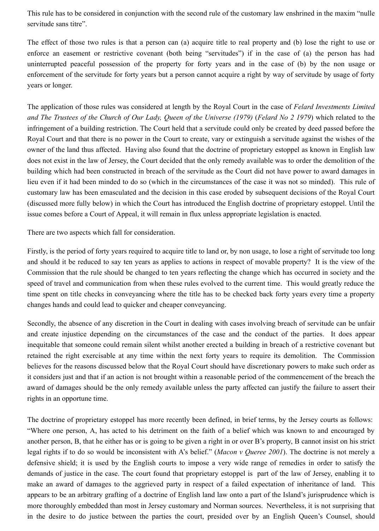This rule has to be considered in conjunction with the second rule of the customary law enshrined in the maxim "nulle servitude sans titre".

The effect of those two rules is that a person can (a) acquire title to real property and (b) lose the right to use or enforce an easement or restrictive covenant (both being "servitudes") if in the case of (a) the person has had uninterrupted peaceful possession of the property for forty years and in the case of (b) by the non usage or enforcement of the servitude for forty years but a person cannot acquire a right by way of servitude by usage of forty years or longer.

The application of those rules was considered at length by the Royal Court in the case of *Felard Investments Limited and The Trustees of the Church of Our Lady, Queen of the Universe (1979)* (*Felard No 2 1979*) which related to the infringement of a building restriction. The Court held that a servitude could only be created by deed passed before the Royal Court and that there is no power in the Court to create, vary or extinguish a servitude against the wishes of the owner of the land thus affected. Having also found that the doctrine of proprietary estoppel as known in English law does not exist in the law of Jersey, the Court decided that the only remedy available was to order the demolition of the building which had been constructed in breach of the servitude as the Court did not have power to award damages in lieu even if it had been minded to do so (which in the circumstances of the case it was not so minded). This rule of customary law has been emasculated and the decision in this case eroded by subsequent decisions of the Royal Court (discussed more fully below) in which the Court has introduced the English doctrine of proprietary estoppel. Until the issue comes before a Court of Appeal, it will remain in flux unless appropriate legislation is enacted.

There are two aspects which fall for consideration.

Firstly, is the period of forty years required to acquire title to land or, by non usage, to lose a right of servitude too long and should it be reduced to say ten years as applies to actions in respect of movable property? It is the view of the Commission that the rule should be changed to ten years reflecting the change which has occurred in society and the speed of travel and communication from when these rules evolved to the current time. This would greatly reduce the time spent on title checks in conveyancing where the title has to be checked back forty years every time a property changes hands and could lead to quicker and cheaper conveyancing.

Secondly, the absence of any discretion in the Court in dealing with cases involving breach of servitude can be unfair and create injustice depending on the circumstances of the case and the conduct of the parties. It does appear inequitable that someone could remain silent whilst another erected a building in breach of a restrictive covenant but retained the right exercisable at any time within the next forty years to require its demolition. The Commission believes for the reasons discussed below that the Royal Court should have discretionary powers to make such order as it considers just and that if an action is not brought within a reasonable period of the commencement of the breach the award of damages should be the only remedy available unless the party affected can justify the failure to assert their rights in an opportune time.

The doctrine of proprietary estoppel has more recently been defined, in brief terms, by the Jersey courts as follows: "Where one person, A, has acted to his detriment on the faith of a belief which was known to and encouraged by another person, B, that he either has or is going to be given a right in or over B's property, B cannot insist on his strict legal rights if to do so would be inconsistent with A's belief." (*Macon v Queree 2001*). The doctrine is not merely a defensive shield; it is used by the English courts to impose a very wide range of remedies in order to satisfy the demands of justice in the case. The court found that proprietary estoppel is part of the law of Jersey, enabling it to make an award of damages to the aggrieved party in respect of a failed expectation of inheritance of land. This appears to be an arbitrary grafting of a doctrine of English land law onto a part of the Island's jurisprudence which is more thoroughly embedded than most in Jersey customary and Norman sources. Nevertheless, it is not surprising that in the desire to do justice between the parties the court, presided over by an English Queen's Counsel, should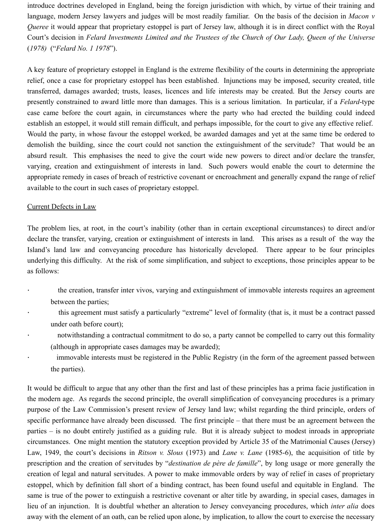introduce doctrines developed in England, being the foreign jurisdiction with which, by virtue of their training and language, modern Jersey lawyers and judges will be most readily familiar. On the basis of the decision in *Macon v Queree* it would appear that proprietary estoppel is part of Jersey law, although it is in direct conflict with the Royal Court's decision in *Felard Investments Limited and the Trustees of the Church of Our Lady, Queen of the Universe* (*1978)* ("*Felard No. 1 1978*").

A key feature of proprietary estoppel in England is the extreme flexibility of the courts in determining the appropriate relief, once a case for proprietary estoppel has been established. Injunctions may be imposed, security created, title transferred, damages awarded; trusts, leases, licences and life interests may be created. But the Jersey courts are presently constrained to award little more than damages. This is a serious limitation. In particular, if a *Felard*-type case came before the court again, in circumstances where the party who had erected the building could indeed establish an estoppel, it would still remain difficult, and perhaps impossible, for the court to give any effective relief. Would the party, in whose favour the estoppel worked, be awarded damages and yet at the same time be ordered to demolish the building, since the court could not sanction the extinguishment of the servitude? That would be an absurd result. This emphasises the need to give the court wide new powers to direct and/or declare the transfer, varying, creation and extinguishment of interests in land. Such powers would enable the court to determine the appropriate remedy in cases of breach of restrictive covenant or encroachment and generally expand the range of relief available to the court in such cases of proprietary estoppel.

#### Current Defects in Law

The problem lies, at root, in the court's inability (other than in certain exceptional circumstances) to direct and/or declare the transfer, varying, creation or extinguishment of interests in land. This arises as a result of the way the Island's land law and conveyancing procedure has historically developed. There appear to be four principles underlying this difficulty. At the risk of some simplification, and subject to exceptions, those principles appear to be as follows:

- the creation, transfer inter vivos, varying and extinguishment of immovable interests requires an agreement between the parties;
- this agreement must satisfy a particularly "extreme" level of formality (that is, it must be a contract passed under oath before court);
- notwithstanding a contractual commitment to do so, a party cannot be compelled to carry out this formality (although in appropriate cases damages may be awarded);
- immovable interests must be registered in the Public Registry (in the form of the agreement passed between the parties).

It would be difficult to argue that any other than the first and last of these principles has a prima facie justification in the modern age. As regards the second principle, the overall simplification of conveyancing procedures is a primary purpose of the Law Commission's present review of Jersey land law; whilst regarding the third principle, orders of specific performance have already been discussed. The first principle – that there must be an agreement between the parties – is no doubt entirely justified as a guiding rule. But it is already subject to modest inroads in appropriate circumstances. One might mention the statutory exception provided by Article 35 of the Matrimonial Causes (Jersey) Law, 1949, the court's decisions in *Ritson v. Slous* (1973) and *Lane v. Lane* (1985-6), the acquisition of title by prescription and the creation of servitudes by "*destination de père de famille*", by long usage or more generally the creation of legal and natural servitudes. A power to make immovable orders by way of relief in cases of proprietary estoppel, which by definition fall short of a binding contract, has been found useful and equitable in England. The same is true of the power to extinguish a restrictive covenant or alter title by awarding, in special cases, damages in lieu of an injunction. It is doubtful whether an alteration to Jersey conveyancing procedures, which *inter alia* does away with the element of an oath, can be relied upon alone, by implication, to allow the court to exercise the necessary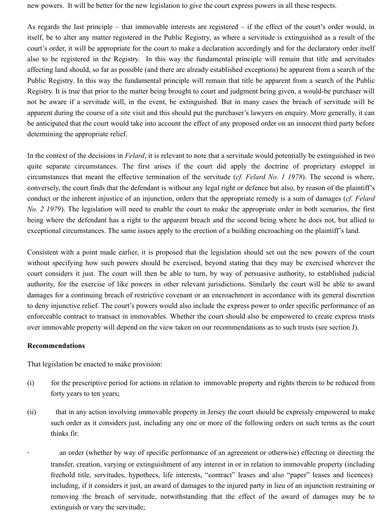new powers. It will be better for the new legislation to give the court express powers in all these respects.

As regards the last principle – that immovable interests are registered – if the effect of the court's order would, in itself, be to alter any matter registered in the Public Registry, as where a servitude is extinguished as a result of the court's order, it will be appropriate for the court to make a declaration accordingly and for the declaratory order itself also to be registered in the Registry. In this way the fundamental principle will remain that title and servitudes affecting land should, so far as possible (and there are already established exceptions) be apparent from a search of the Public Registry. In this way the fundamental principle will remain that title be apparent from a search of the Public Registry. It is true that prior to the matter being brought to court and judgment being given, a would-be purchaser will not be aware if a servitude will, in the event, be extinguished. But in many cases the breach of servitude will be apparent during the course of a site visit and this should put the purchaser's lawyers on enquiry. More generally, it can be anticipated that the court would take into account the effect of any proposed order on an innocent third party before determining the appropriate relief.

In the context of the decisions in *Felard*, it is relevant to note that a servitude would potentially be extinguished in two quite separate circumstances. The first arises if the court did apply the doctrine of proprietary estoppel in circumstances that meant the effective termination of the servitude (*cf. Felard No. 1 1978*). The second is where, conversely, the court finds that the defendant is without any legal right or defence but also, by reason of the plaintiff's conduct or the inherent injustice of an injunction, orders that the appropriate remedy is a sum of damages (*cf. Felard No. 2 1979*). The legislation will need to enable the court to make the appropriate order in both scenarios, the first being where the defendant has a right to the apparent breach and the second being where he does not, but allied to exceptional circumstances. The same issues apply to the erection of a building encroaching on the plaintiff's land.

Consistent with a point made earlier, it is proposed that the legislation should set out the new powers of the court without specifying how such powers should be exercised, beyond stating that they may be exercised wherever the court considers it just. The court will then be able to turn, by way of persuasive authority, to established judicial authority, for the exercise of like powers in other relevant jurisdictions. Similarly the court will be able to award damages for a continuing breach of restrictive covenant or an encroachment in accordance with its general discretion to deny injunctive relief. The court's powers would also include the express power to order specific performance of an enforceable contract to transact in immovables. Whether the court should also be empowered to create express trusts over immovable property will depend on the view taken on our recommendations as to such trusts (see section J).

#### **Recommendations**

That legislation be enacted to make provision:

- (i) for the prescriptive period for actions in relation to immovable property and rights therein to be reduced from forty years to ten years;
- (ii) that in any action involving immovable property in Jersey the court should be expressly empowered to make such order as it considers just, including any one or more of the following orders on such terms as the court thinks fit:

an order (whether by way of specific performance of an agreement or otherwise) effecting or directing the transfer, creation, varying or extinguishment of any interest in or in relation to immovable property (including freehold title, servitudes, hypothecs, life interests, "contract" leases and also "paper" leases and licences) including, if it considers it just, an award of damages to the injured party in lieu of an injunction restraining or removing the breach of servitude, notwithstanding that the effect of the award of damages may be to extinguish or vary the servitude;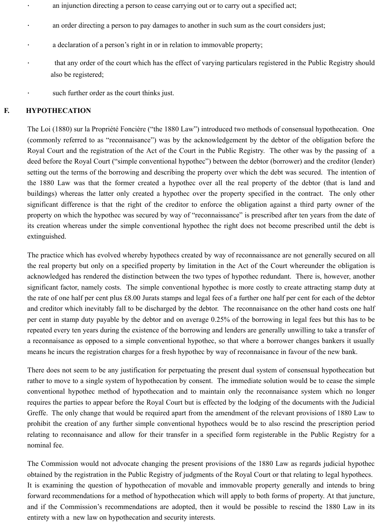- · an injunction directing a person to cease carrying out or to carry out a specified act;
- an order directing a person to pay damages to another in such sum as the court considers just;
- a declaration of a person's right in or in relation to immovable property;
- that any order of the court which has the effect of varying particulars registered in the Public Registry should also be registered;
- such further order as the court thinks just.

#### **F. HYPOTHECATION**

The Loi (1880) sur la Propriété Foncière ("the 1880 Law") introduced two methods of consensual hypothecation. One (commonly referred to as "reconnaisance") was by the acknowledgement by the debtor of the obligation before the Royal Court and the registration of the Act of the Court in the Public Registry. The other was by the passing of a deed before the Royal Court ("simple conventional hypothec") between the debtor (borrower) and the creditor (lender) setting out the terms of the borrowing and describing the property over which the debt was secured. The intention of the 1880 Law was that the former created a hypothec over all the real property of the debtor (that is land and buildings) whereas the latter only created a hypothec over the property specified in the contract. The only other significant difference is that the right of the creditor to enforce the obligation against a third party owner of the property on which the hypothec was secured by way of "reconnaissance" is prescribed after ten years from the date of its creation whereas under the simple conventional hypothec the right does not become prescribed until the debt is extinguished.

The practice which has evolved whereby hypothecs created by way of reconnaissance are not generally secured on all the real property but only on a specified property by limitation in the Act of the Court whereunder the obligation is acknowledged has rendered the distinction between the two types of hypothec redundant. There is, however, another significant factor, namely costs. The simple conventional hypothec is more costly to create attracting stamp duty at the rate of one half per cent plus £8.00 Jurats stamps and legal fees of a further one half per cent for each of the debtor and creditor which inevitably fall to be discharged by the debtor. The reconnaisance on the other hand costs one half per cent in stamp duty payable by the debtor and on average 0.25% of the borrowing in legal fees but this has to be repeated every ten years during the existence of the borrowing and lenders are generally unwilling to take a transfer of a reconnaisance as opposed to a simple conventional hypothec, so that where a borrower changes bankers it usually means he incurs the registration charges for a fresh hypothec by way of reconnaisance in favour of the new bank.

There does not seem to be any justification for perpetuating the present dual system of consensual hypothecation but rather to move to a single system of hypothecation by consent. The immediate solution would be to cease the simple conventional hypothec method of hypothecation and to maintain only the reconnaisance system which no longer requires the parties to appear before the Royal Court but is effected by the lodging of the documents with the Judicial Greffe. The only change that would be required apart from the amendment of the relevant provisions of 1880 Law to prohibit the creation of any further simple conventional hypothecs would be to also rescind the prescription period relating to reconnaisance and allow for their transfer in a specified form registerable in the Public Registry for a nominal fee.

The Commission would not advocate changing the present provisions of the 1880 Law as regards judicial hypothec obtained by the registration in the Public Registry of judgments of the Royal Court or that relating to legal hypothecs. It is examining the question of hypothecation of movable and immovable property generally and intends to bring forward recommendations for a method of hypothecation which will apply to both forms of property. At that juncture, and if the Commission's recommendations are adopted, then it would be possible to rescind the 1880 Law in its entirety with a new law on hypothecation and security interests.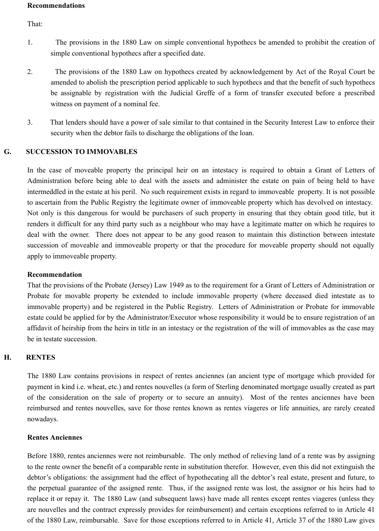#### **Recommendations**

That:

- 1. The provisions in the 1880 Law on simple conventional hypothecs be amended to prohibit the creation of simple conventional hypothecs after a specified date.
- 2. The provisions of the 1880 Law on hypothecs created by acknowledgement by Act of the Royal Court be amended to abolish the prescription period applicable to such hypothecs and that the benefit of such hypothecs be assignable by registration with the Judicial Greffe of a form of transfer executed before a prescribed witness on payment of a nominal fee.
- 3. That lenders should have a power of sale similar to that contained in the Security Interest Law to enforce their security when the debtor fails to discharge the obligations of the loan.

## **G. SUCCESSION TO IMMOVABLES**

In the case of moveable property the principal heir on an intestacy is required to obtain a Grant of Letters of Administration before being able to deal with the assets and administer the estate on pain of being held to have intermeddled in the estate at his peril. No such requirement exists in regard to immoveable property. It is not possible to ascertain from the Public Registry the legitimate owner of immoveable property which has devolved on intestacy. Not only is this dangerous for would be purchasers of such property in ensuring that they obtain good title, but it renders it difficult for any third party such as a neighbour who may have a legitimate matter on which he requires to deal with the owner. There does not appear to be any good reason to maintain this distinction between intestate succession of moveable and immoveable property or that the procedure for moveable property should not equally apply to immoveable property.

## **Recommendation**

That the provisions of the Probate (Jersey) Law 1949 as to the requirement for a Grant of Letters of Administration or Probate for movable property be extended to include immovable property (where deceased died intestate as to immovable property) and be registered in the Public Registry. Letters of Administration or Probate for immovable estate could be applied for by the Administrator/Executor whose responsibility it would be to ensure registration of an affidavit of heirship from the heirs in title in an intestacy or the registration of the will of immovables as the case may be in testate succession.

## **H. RENTES**

The 1880 Law contains provisions in respect of rentes anciennes (an ancient type of mortgage which provided for payment in kind i.e. wheat, etc.) and rentes nouvelles (a form of Sterling denominated mortgage usually created as part of the consideration on the sale of property or to secure an annuity). Most of the rentes anciennes have been reimbursed and rentes nouvelles, save for those rentes known as rentes viageres or life annuities, are rarely created nowadays.

#### **Rentes Anciennes**

Before 1880, rentes anciennes were not reimbursable. The only method of relieving land of a rente was by assigning to the rente owner the benefit of a comparable rente in substitution therefor. However, even this did not extinguish the debtor's obligations: the assignment had the effect of hypothecating all the debtor's real estate, present and future, to the perpetual guarantee of the assigned rente. Thus, if the assigned rente was lost, the assignor or his heirs had to replace it or repay it. The 1880 Law (and subsequent laws) have made all rentes except rentes viageres (unless they are nouvelles and the contract expressly provides for reimbursement) and certain exceptions referred to in Article 41 of the 1880 Law, reimbursable. Save for those exceptions referred to in Article 41, Article 37 of the 1880 Law gives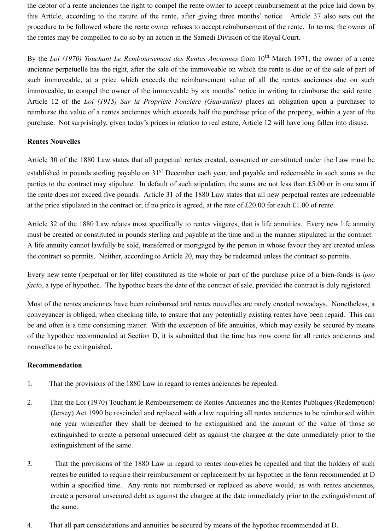the debtor of a rente anciennes the right to compel the rente owner to accept reimbursement at the price laid down by this Article, according to the nature of the rente, after giving three months' notice. Article 37 also sets out the procedure to be followed where the rente owner refuses to accept reimbursement of the rente. In terms, the owner of the rentes may be compelled to do so by an action in the Samedi Division of the Royal Court.

By the *Loi (1970) Touchant Le Remboursement des Rentes Anciennes* from 10<sup>th</sup> March 1971, the owner of a rente ancienne perpetuelle has the right, after the sale of the immoveable on which the rente is due or of the sale of part of such immoveable, at a price which exceeds the reimbursement value of all the rentes anciennes due on such immoveable, to compel the owner of the immoveable by six months' notice in writing to reimburse the said rente. Article 12 of the *Loi (1915) Sur la Propriété Foncière (Guaranties)* places an obligation upon a purchaser to reimburse the value of a rentes anciennes which exceeds half the purchase price of the property, within a year of the purchase. Not surprisingly, given today's prices in relation to real estate, Article 12 will have long fallen into disuse.

#### **Rentes Nouvelles**

Article 30 of the 1880 Law states that all perpetual rentes created, consented or constituted under the Law must be established in pounds sterling payable on 31<sup>st</sup> December each year, and payable and redeemable in such sums as the parties to the contract may stipulate. In default of such stipulation, the sums are not less than £5.00 or in one sum if the rente does not exceed five pounds. Article 31 of the 1880 Law states that all new perpetual rentes are redeemable at the price stipulated in the contract or, if no price is agreed, at the rate of £20.00 for each £1.00 of rente.

Article 32 of the 1880 Law relates most specifically to rentes viageres, that is life annuities. Every new life annuity must be created or constituted in pounds sterling and payable at the time and in the manner stipulated in the contract. A life annuity cannot lawfully be sold, transferred or mortgaged by the person in whose favour they are created unless the contract so permits. Neither, according to Article 20, may they be redeemed unless the contract so permits.

Every new rente (perpetual or for life) constituted as the whole or part of the purchase price of a bien-fonds is *ipso facto*, a type of hypothec. The hypothec bears the date of the contract of sale, provided the contract is duly registered.

Most of the rentes anciennes have been reimbursed and rentes nouvelles are rarely created nowadays. Nonetheless, a conveyancer is obliged, when checking title, to ensure that any potentially existing rentes have been repaid. This can be and often is a time consuming matter. With the exception of life annuities, which may easily be secured by means of the hypothec recommended at Section D, it is submitted that the time has now come for all rentes anciennes and nouvelles to be extinguished.

## **Recommendation**

- 1. That the provisions of the 1880 Law in regard to rentes anciennes be repealed.
- 2. That the Loi (1970) Touchant le Remboursement de Rentes Anciennes and the Rentes Publiques (Redemption) (Jersey) Act 1990 be rescinded and replaced with a law requiring all rentes anciennes to be reimbursed within one year whereafter they shall be deemed to be extinguished and the amount of the value of those so extinguished to create a personal unsecured debt as against the chargee at the date immediately prior to the extinguishment of the same.
- 3. That the provisions of the 1880 Law in regard to rentes nouvelles be repealed and that the holders of such rentes be entitled to require their reimbursement or replacement by an hypothec in the form recommended at D within a specified time. Any rente not reimbursed or replaced as above would, as with rentes anciennes, create a personal unsecured debt as against the chargee at the date immediately prior to the extinguishment of the same.
- 4. That all part considerations and annuities be secured by means of the hypothec recommended at D.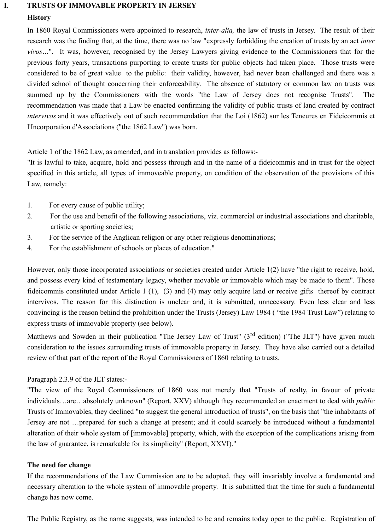#### **I. TRUSTS OF IMMOVABLE PROPERTY IN JERSEY**

#### **History**

In 1860 Royal Commissioners were appointed to research, *inter-alia,* the law of trusts in Jersey. The result of their research was the finding that, at the time, there was no law "expressly forbidding the creation of trusts by an act *inter vivos…*". It was, however, recognised by the Jersey Lawyers giving evidence to the Commissioners that for the previous forty years, transactions purporting to create trusts for public objects had taken place. Those trusts were considered to be of great value to the public: their validity, however, had never been challenged and there was a divided school of thought concerning their enforceability. The absence of statutory or common law on trusts was summed up by the Commissioners with the words "the Law of Jersey does not recognise Trusts". The recommendation was made that a Law be enacted confirming the validity of public trusts of land created by contract *intervivos* and it was effectively out of such recommendation that the Loi (1862) sur les Teneures en Fideicommis et l'Incorporation d'Associations ("the 1862 Law") was born.

Article 1 of the 1862 Law, as amended, and in translation provides as follows:-

"It is lawful to take, acquire, hold and possess through and in the name of a fideicommis and in trust for the object specified in this article, all types of immoveable property, on condition of the observation of the provisions of this Law, namely:

- 1. For every cause of public utility;
- 2. For the use and benefit of the following associations, viz. commercial or industrial associations and charitable, artistic or sporting societies;
- 3. For the service of the Anglican religion or any other religious denominations;
- 4. For the establishment of schools or places of education."

However, only those incorporated associations or societies created under Article 1(2) have "the right to receive, hold, and possess every kind of testamentary legacy, whether movable or immovable which may be made to them". Those fideicommis constituted under Article 1 (1), (3) and (4) may only acquire land or receive gifts thereof by contract intervivos. The reason for this distinction is unclear and, it is submitted, unnecessary. Even less clear and less convincing is the reason behind the prohibition under the Trusts (Jersey) Law 1984 ( "the 1984 Trust Law") relating to express trusts of immovable property (see below).

Matthews and Sowden in their publication "The Jersey Law of Trust" (3<sup>rd</sup> edition) ("The JLT") have given much consideration to the issues surrounding trusts of immovable property in Jersey. They have also carried out a detailed review of that part of the report of the Royal Commissioners of 1860 relating to trusts.

## Paragraph 2.3.9 of the JLT states:-

"The view of the Royal Commissioners of 1860 was not merely that "Trusts of realty, in favour of private individuals…are…absolutely unknown" (Report, XXV) although they recommended an enactment to deal with *public* Trusts of Immovables, they declined "to suggest the general introduction of trusts", on the basis that "the inhabitants of Jersey are not …prepared for such a change at present; and it could scarcely be introduced without a fundamental alteration of their whole system of [immovable] property, which, with the exception of the complications arising from the law of guarantee, is remarkable for its simplicity" (Report, XXVI)."

## **The need for change**

If the recommendations of the Law Commission are to be adopted, they will invariably involve a fundamental and necessary alteration to the whole system of immovable property. It is submitted that the time for such a fundamental change has now come.

The Public Registry, as the name suggests, was intended to be and remains today open to the public. Registration of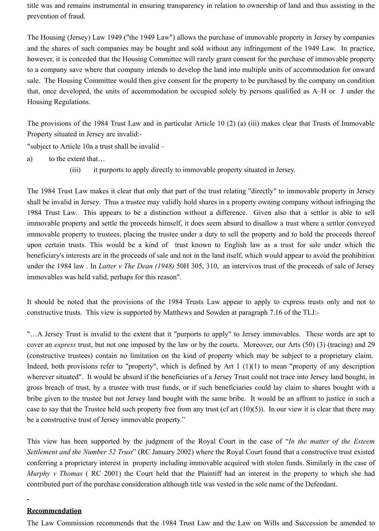title was and remains instrumental in ensuring transparency in relation to ownership of land and thus assisting in the prevention of fraud.

The Housing (Jersey) Law 1949 ("the 1949 Law") allows the purchase of immovable property in Jersey by companies and the shares of such companies may be bought and sold without any infringement of the 1949 Law. In practice, however, it is conceded that the Housing Committee will rarely grant consent for the purchase of immovable property to a company save where that company intends to develop the land into multiple units of accommodation for onward sale. The Housing Committee would then give consent for the property to be purchased by the company on condition that, once developed, the units of accommodation be occupied solely by persons qualified as A–H or J under the Housing Regulations.

The provisions of the 1984 Trust Law and in particular Article 10 (2) (a) (iii) makes clear that Trusts of Immovable Property situated in Jersey are invalid:-

"subject to Article 10a a trust shall be invalid –

- a) to the extent that…
	- (iii) it purports to apply directly to immovable property situated in Jersey.

The 1984 Trust Law makes it clear that only that part of the trust relating "directly" to immovable property in Jersey shall be invalid in Jersey. Thus a trustee may validly hold shares in a property owning company without infringing the 1984 Trust Law. This appears to be a distinction without a difference. Given also that a settlor is able to sell immovable property and settle the proceeds himself, it does seem absurd to disallow a trust where a settlor conveyed immovable property to trustees, placing the trustee under a duty to sell the property and to hold the proceeds thereof upon certain trusts. This would be a kind of trust known to English law as a trust for sale under which the beneficiary's interests are in the proceeds of sale and not in the land itself, which would appear to avoid the prohibition under the 1984 law . In *Latter v The Dean (1948)* 50H 305, 310, an intervivos trust of the proceeds of sale of Jersey immovables was held valid, perhaps for this reason".

It should be noted that the provisions of the 1984 Trusts Law appear to apply to express trusts only and not to constructive trusts. This view is supported by Matthews and Sowden at paragraph 7.16 of the TLJ:-

"…A Jersey Trust is invalid to the extent that it "purports to apply" to Jersey immovables. These words are apt to cover an *express* trust, but not one imposed by the law or by the courts. Moreover, our Arts (50) (3) (tracing) and 29 (constructive trustees) contain no limitation on the kind of property which may be subject to a proprietary claim. Indeed, both provisions refer to "property", which is defined by Art 1 (1)(1) to mean "property of any description wherever situated". It would be absurd if the beneficiaries of a Jersey Trust could not trace into Jersey land bought, in gross breach of trust, by a trustee with trust funds, or if such beneficiaries could lay claim to shares bought with a bribe given to the trustee but not Jersey land bought with the same bribe. It would be an affront to justice in such a case to say that the Trustee held such property free from any trust (cf art  $(10)(5)$ ). In our view it is clear that there may be a constructive trust of Jersey immovable property."

This view has been supported by the judgment of the Royal Court in the case of "*In the matter of the Esteem Settlement and the Number 52 Trust*" (RC January 2002) where the Royal Court found that a constructive trust existed conferring a proprietary interest in property including immovable acquired with stolen funds. Similarly in the case of *Murphy v Thomas* (RC 2001) the Court held that the Plaintiff had an interest in the property to which she had contributed part of the purchase consideration although title was vested in the sole name of the Defendant.

#### **Recommendation**

 $\Box$ 

The Law Commission recommends that the 1984 Trust Law and the Law on Wills and Succession be amended to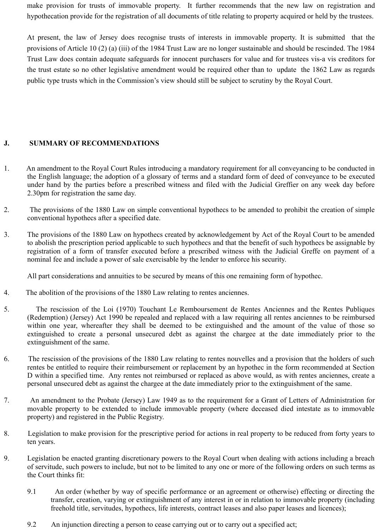make provision for trusts of immovable property. It further recommends that the new law on registration and hypothecation provide for the registration of all documents of title relating to property acquired or held by the trustees.

At present, the law of Jersey does recognise trusts of interests in immovable property. It is submitted that the provisions of Article 10 (2) (a) (iii) of the 1984 Trust Law are no longer sustainable and should be rescinded. The 1984 Trust Law does contain adequate safeguards for innocent purchasers for value and for trustees vis-a vis creditors for the trust estate so no other legislative amendment would be required other than to update the 1862 Law as regards public type trusts which in the Commission's view should still be subject to scrutiny by the Royal Court.

## **J. SUMMARY OF RECOMMENDATIONS**

- 1. An amendment to the Royal Court Rules introducing a mandatory requirement for all conveyancing to be conducted in the English language; the adoption of a glossary of terms and a standard form of deed of conveyance to be executed under hand by the parties before a prescribed witness and filed with the Judicial Greffier on any week day before 2.30pm for registration the same day.
- 2. The provisions of the 1880 Law on simple conventional hypothecs to be amended to prohibit the creation of simple conventional hypothecs after a specified date.
- 3. The provisions of the 1880 Law on hypothecs created by acknowledgement by Act of the Royal Court to be amended to abolish the prescription period applicable to such hypothecs and that the benefit of such hypothecs be assignable by registration of a form of transfer executed before a prescribed witness with the Judicial Greffe on payment of a nominal fee and include a power of sale exercisable by the lender to enforce his security.

All part considerations and annuities to be secured by means of this one remaining form of hypothec.

- 4. The abolition of the provisions of the 1880 Law relating to rentes anciennes.
- 5. The rescission of the Loi (1970) Touchant Le Remboursement de Rentes Anciennes and the Rentes Publiques (Redemption) (Jersey) Act 1990 be repealed and replaced with a law requiring all rentes anciennes to be reimbursed within one year, whereafter they shall be deemed to be extinguished and the amount of the value of those so extinguished to create a personal unsecured debt as against the chargee at the date immediately prior to the extinguishment of the same.
- 6. The rescission of the provisions of the 1880 Law relating to rentes nouvelles and a provision that the holders of such rentes be entitled to require their reimbursement or replacement by an hypothec in the form recommended at Section D within a specified time. Any rentes not reimbursed or replaced as above would, as with rentes anciennes, create a personal unsecured debt as against the chargee at the date immediately prior to the extinguishment of the same.
- 7. An amendment to the Probate (Jersey) Law 1949 as to the requirement for a Grant of Letters of Administration for movable property to be extended to include immovable property (where deceased died intestate as to immovable property) and registered in the Public Registry.
- 8. Legislation to make provision for the prescriptive period for actions in real property to be reduced from forty years to ten years.
- 9. Legislation be enacted granting discretionary powers to the Royal Court when dealing with actions including a breach of servitude, such powers to include, but not to be limited to any one or more of the following orders on such terms as the Court thinks fit:
	- 9.1 An order (whether by way of specific performance or an agreement or otherwise) effecting or directing the transfer, creation, varying or extinguishment of any interest in or in relation to immovable property (including freehold title, servitudes, hypothecs, life interests, contract leases and also paper leases and licences);
	- 9.2 An injunction directing a person to cease carrying out or to carry out a specified act;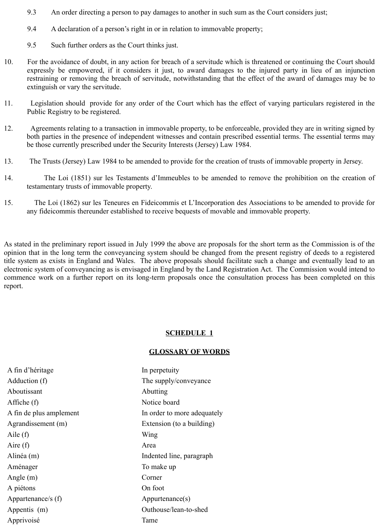- 9.3 An order directing a person to pay damages to another in such sum as the Court considers just;
- 9.4 A declaration of a person's right in or in relation to immovable property;
- 9.5 Such further orders as the Court thinks just.
- 10. For the avoidance of doubt, in any action for breach of a servitude which is threatened or continuing the Court should expressly be empowered, if it considers it just, to award damages to the injured party in lieu of an injunction restraining or removing the breach of servitude, notwithstanding that the effect of the award of damages may be to extinguish or vary the servitude.
- 11. Legislation should provide for any order of the Court which has the effect of varying particulars registered in the Public Registry to be registered.
- 12. Agreements relating to a transaction in immovable property, to be enforceable, provided they are in writing signed by both parties in the presence of independent witnesses and contain prescribed essential terms. The essential terms may be those currently prescribed under the Security Interests (Jersey) Law 1984.
- 13. The Trusts (Jersey) Law 1984 to be amended to provide for the creation of trusts of immovable property in Jersey.
- 14. The Loi (1851) sur les Testaments d'Immeubles to be amended to remove the prohibition on the creation of testamentary trusts of immovable property.
- 15. The Loi (1862) sur les Teneures en Fideicommis et L'Incorporation des Associations to be amended to provide for any fideicommis thereunder established to receive bequests of movable and immovable property.

As stated in the preliminary report issued in July 1999 the above are proposals for the short term as the Commission is of the opinion that in the long term the conveyancing system should be changed from the present registry of deeds to a registered title system as exists in England and Wales. The above proposals should facilitate such a change and eventually lead to an electronic system of conveyancing as is envisaged in England by the Land Registration Act. The Commission would intend to commence work on a further report on its long-term proposals once the consultation process has been completed on this report.

#### **SCHEDULE 1**

#### **GLOSSARY OF WORDS**

A fin d'héritage In perpetuity Adduction (f) The supply/conveyance Aboutissant Abutting Affiche (f) Notice board A fin de plus amplement In order to more adequately Agrandissement (m) Extension (to a building) Aile (f) Wing Aire (f) Area Alinéa (m) Indented line, paragraph Aménager To make up Angle (m) Corner A piétons On foot Appartenance/s (f) Appurtenance(s) Appentis (m) Outhouse/lean-to-shed Apprivoisé Tame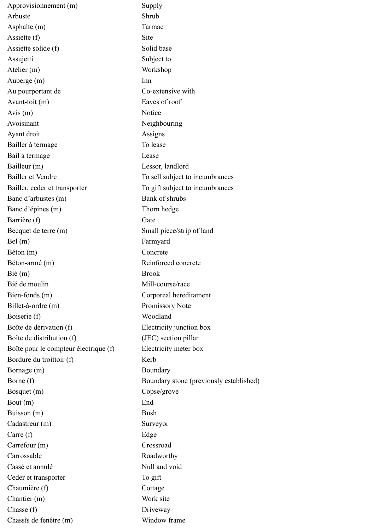Approvisionnement (m) Supply Arbuste Shrub Asphalte (m) Tarmac Assiette (f) Site Assiette solide (f) Solid base Assujetti Subject to Atelier (m) Workshop Auberge (m) Inn Au pourportant de Co-extensive with Avant-toit (m) Eaves of roof Avis (m) Notice Avoisinant Neighbouring Ayant droit Assigns Bailler à termage To lease Bail à termage Lease Bailleur (m) Lessor, landlord Bailler et Vendre To sell subject to incumbrances Bailler, ceder et transporter To gift subject to incumbrances Banc d'arbustes (m) Bank of shrubs Banc d'épines (m) Thorn hedge Barrière (f) Gate Becquet de terre (m) Small piece/strip of land Bel (m) Farmyard Béton (m) Concrete Béton-armé (m) Reinforced concrete Bié (m) Brook Bié de moulin Mill-course/race Bien-fonds (m) Corporeal hereditament Billet-à-ordre (m) Promissory Note Boiserie (f) Woodland Boîte de dérivation (f) Electricity junction box Boîte de distribution (f) (JEC) section pillar Boîte pour le compteur électrique (f) Electricity meter box Bordure du troittoir (f) Kerb Bornage (m) Boundary Borne (f) Boundary stone (previously established) Bosquet (m) Copse/grove Bout (m) End Buisson (m) Bush Cadastreur (m) Surveyor Carre (f) Edge Carrefour (m) Crossroad Carrossable Roadworthy Cassé et annulé Null and void Ceder et transporter To gift Chaumière (f) Cottage Chantier (m) Work site Chasse (f) Driveway Chassîs de fenêtre (m) Window frame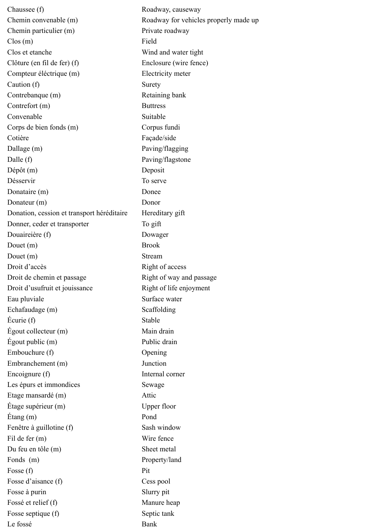Chaussee (f) Roadway, causeway Chemin convenable (m) Roadway for vehicles properly made up Chemin particulier (m) Private roadway Clos (m) Field Clos et etanche Wind and water tight Clôture (en fil de fer) (f) Enclosure (wire fence) Compteur éléctrique (m) Electricity meter Caution (f) Surety Contrebanque (m) Retaining bank Contrefort (m) Buttress Convenable Suitable Suitable Corps de bien fonds (m) Corpus fundi Cotière Façade/side Dallage (m) Paving/flagging Dalle (f) Paving/flagstone Dépôt (m) Deposit Désservir To serve Donataire (m) Donee Donateur (m) Donor Donation, cession et transport héréditaire Hereditary gift Donner, ceder et transporter To gift Douaireière (f) Dowager Douet (m) Brook Douet (m) Stream Droit d'accès Right of access Droit de chemin et passage Right of way and passage Droit d'usufruit et jouissance Right of life enjoyment Eau pluviale Surface water Echafaudage (m) Scaffolding Écurie (f) Stable Égout collecteur (m) Main drain Égout public (m) Public drain Embouchure (f) Opening Embranchement (m) Junction Encoignure (f) Internal corner Les épurs et immondices Sewage Etage mansardé (m) Attic Étage supérieur (m) Upper floor Étang (m) Pond Fenêtre à guillotine (f) Sash window Fil de fer (m) Wire fence Du feu en tôle (m) Sheet metal Fonds (m) Property/land Fosse (f) Pit Fosse d'aisance (f) Cess pool Fosse à purin Slurry pit Fossé et relief (f) Manure heap Fosse septique (f) Septic tank Le fossé Bank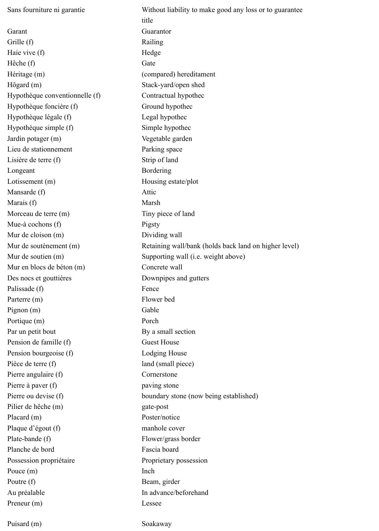Sans fourniture ni garantie Without liability to make good any loss or to guarantee title Garant Guarantor Grille (f) Railing Haie vive (f) Hedge Hêche (f) Gate Héritage (m) (compared) hereditament Hôgard (m) Stack-yard/open shed Hypothèque conventionnelle (f) Contractual hypothec Hypothèque foncière (f) Ground hypothec Hypothèque légale (f) Legal hypothec Hypothèque simple (f) Simple hypothec Jardin potager (m) Vegetable garden Lieu de stationnement Parking space Lisière de terre (f) Strip of land Longeant Bordering Lotissement (m) Housing estate/plot Mansarde (f) Attic Marais (f) Marsh Morceau de terre (m) Tiny piece of land Mue-à cochons (f) Pigsty Mur de cloison (m) Dividing wall Mur de soutènement (m) Retaining wall/bank (holds back land on higher level) Mur de soutien (m) Supporting wall (i.e. weight above) Mur en blocs de béton (m) Concrete wall Des nocs et gouttières Downpipes and gutters Palissade (f) Fence Parterre (m) Flower bed Pignon (m) Gable Portique (m) Porch Par un petit bout Pension de famille (f) Pension bourgeoise (f) By a small section Guest House Lodging House Pièce de terre (f) land (small piece) Pierre angulaire (f) Cornerstone Pierre à paver (f) paving stone Pierre ou devise (f) boundary stone (now being established) Pilier de hêche (m) gate-post Placard (m) Poster/notice Plaque d'égout (f) manhole cover Plate-bande (f) Planche de bord Flower/grass border Fascia board Possession propriétaire Proprietary possession Pouce  $(m)$  Inch Poutre (f) Beam, girder Au préalable In advance/beforehand Preneur (m) Lessee Puisard (m) Soakaway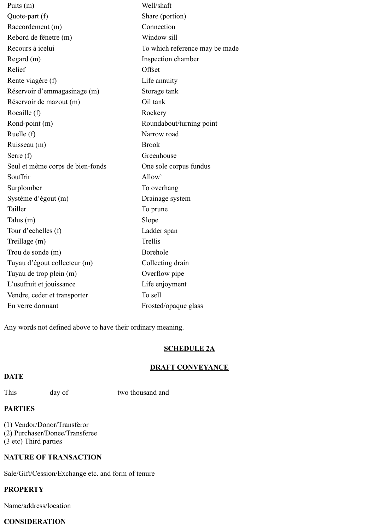Puits (m) Well/shaft Quote-part (f) Share (portion) Raccordement (m) Connection Rebord de fênetre (m) Window sill Recours à icelui To which reference may be made Regard (m) Inspection chamber Relief Offset Rente viagère (f) Life annuity Réservoir d'emmagasinage (m) Storage tank Réservoir de mazout (m) Oil tank Rocaille (f) Rockery Rond-point (m) Roundabout/turning point Ruelle (f) Narrow road Ruisseau (m) Brook Serre (f) Greenhouse Seul et même corps de bien-fonds One sole corpus fundus Souffrir Allow Surplomber To overhang Système d'égout (m) Drainage system Tailler To prune To prune Talus (m) Slope Tour d'echelles (f) Ladder span Treillage (m) Trellis Trou de sonde (m) Borehole Tuyau d'égout collecteur (m) Collecting drain Tuyau de trop plein (m) Overflow pipe L'usufruit et jouissance Life enjoyment Vendre, ceder et transporter To sell En verre dormant Frosted/opaque glass

Any words not defined above to have their ordinary meaning.

## **SCHEDULE 2A**

## **DRAFT CONVEYANCE**

## **DATE**

This day of two thousand and

## **PARTIES**

(1) Vendor/Donor/Transferor (2) Purchaser/Donee/Transferee (3 etc) Third parties

## **NATURE OF TRANSACTION**

Sale/Gift/Cession/Exchange etc. and form of tenure

## **PROPERTY**

Name/address/location

## **CONSIDERATION**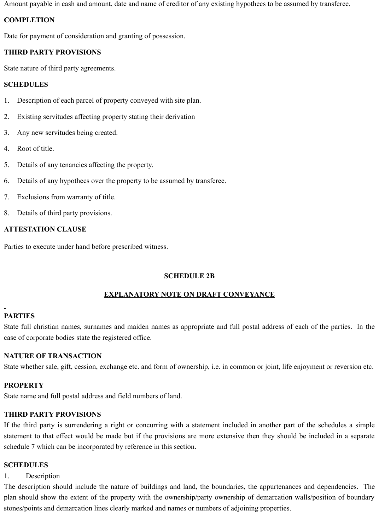Amount payable in cash and amount, date and name of creditor of any existing hypothecs to be assumed by transferee.

#### **COMPLETION**

Date for payment of consideration and granting of possession.

## **THIRD PARTY PROVISIONS**

State nature of third party agreements.

#### **SCHEDULES**

- 1. Description of each parcel of property conveyed with site plan.
- 2. Existing servitudes affecting property stating their derivation
- 3. Any new servitudes being created.
- 4. Root of title.
- 5. Details of any tenancies affecting the property.
- 6. Details of any hypothecs over the property to be assumed by transferee.
- 7. Exclusions from warranty of title.
- 8. Details of third party provisions.

#### **ATTESTATION CLAUSE**

Parties to execute under hand before prescribed witness.

## **SCHEDULE 2B**

## **EXPLANATORY NOTE ON DRAFT CONVEYANCE**

## **PARTIES**

State full christian names, surnames and maiden names as appropriate and full postal address of each of the parties. In the case of corporate bodies state the registered office.

## **NATURE OF TRANSACTION**

State whether sale, gift, cession, exchange etc. and form of ownership, i.e. in common or joint, life enjoyment or reversion etc.

## **PROPERTY**

State name and full postal address and field numbers of land.

## **THIRD PARTY PROVISIONS**

If the third party is surrendering a right or concurring with a statement included in another part of the schedules a simple statement to that effect would be made but if the provisions are more extensive then they should be included in a separate schedule 7 which can be incorporated by reference in this section.

## **SCHEDULES**

#### 1. Description

The description should include the nature of buildings and land, the boundaries, the appurtenances and dependencies. The plan should show the extent of the property with the ownership/party ownership of demarcation walls/position of boundary stones/points and demarcation lines clearly marked and names or numbers of adjoining properties.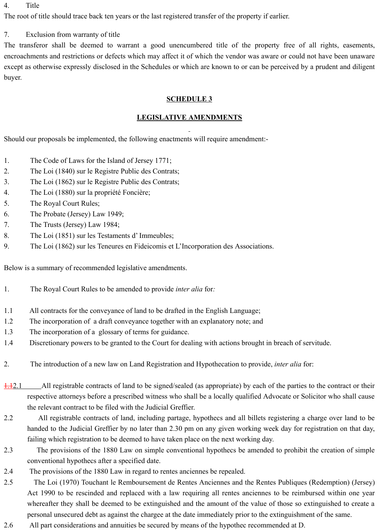#### 4. Title

The root of title should trace back ten years or the last registered transfer of the property if earlier.

## 7. Exclusion from warranty of title

The transferor shall be deemed to warrant a good unencumbered title of the property free of all rights, easements, encroachments and restrictions or defects which may affect it of which the vendor was aware or could not have been unaware except as otherwise expressly disclosed in the Schedules or which are known to or can be perceived by a prudent and diligent buyer.

## **SCHEDULE 3**

## **LEGISLATIVE AMENDMENTS**

Should our proposals be implemented, the following enactments will require amendment:-

- 1. The Code of Laws for the Island of Jersey 1771;
- 2. The Loi (1840) sur le Registre Public des Contrats;
- 3. The Loi (1862) sur le Registre Public des Contrats;
- 4. The Loi (1880) sur la propriété Foncière;
- 5. The Royal Court Rules;
- 6. The Probate (Jersey) Law 1949;
- 7. The Trusts (Jersey) Law 1984;
- 8. The Loi (1851) sur les Testaments d' Immeubles;
- 9. The Loi (1862) sur les Teneures en Fideicomis et L'Incorporation des Associations.

Below is a summary of recommended legislative amendments.

- 1. The Royal Court Rules to be amended to provide *inter alia* for*:*
- 1.1 All contracts for the conveyance of land to be drafted in the English Language;
- 1.2 The incorporation of a draft conveyance together with an explanatory note; and
- 1.3 The incorporation of a glossary of terms for guidance.
- 1.4 Discretionary powers to be granted to the Court for dealing with actions brought in breach of servitude.
- 2. The introduction of a new law on Land Registration and Hypothecation to provide, *inter alia* for:
- 1.12.1 All registrable contracts of land to be signed/sealed (as appropriate) by each of the parties to the contract or their respective attorneys before a prescribed witness who shall be a locally qualified Advocate or Solicitor who shall cause the relevant contract to be filed with the Judicial Greffier.
- 2.2 All registrable contracts of land, including partage, hypothecs and all billets registering a charge over land to be handed to the Judicial Greffier by no later than 2.30 pm on any given working week day for registration on that day, failing which registration to be deemed to have taken place on the next working day.
- 2.3 The provisions of the 1880 Law on simple conventional hypothecs be amended to prohibit the creation of simple conventional hypothecs after a specified date.
- 2.4 The provisions of the 1880 Law in regard to rentes anciennes be repealed.
- 2.5 The Loi (1970) Touchant le Remboursement de Rentes Anciennes and the Rentes Publiques (Redemption) (Jersey) Act 1990 to be rescinded and replaced with a law requiring all rentes anciennes to be reimbursed within one year whereafter they shall be deemed to be extinguished and the amount of the value of those so extinguished to create a personal unsecured debt as against the chargee at the date immediately prior to the extinguishment of the same.
- 2.6 All part considerations and annuities be secured by means of the hypothec recommended at D.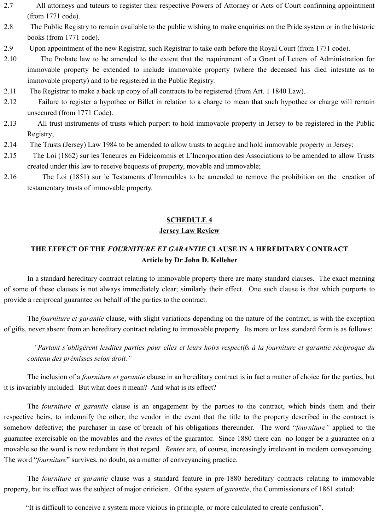- 2.7 All attorneys and tuteurs to register their respective Powers of Attorney or Acts of Court confirming appointment (from 1771 code).
- 2.8 The Public Registry to remain available to the public wishing to make enquiries on the Pride system or in the historic books (from 1771 code).
- 2.9 Upon appointment of the new Registrar, such Registrar to take oath before the Royal Court (from 1771 code).
- 2.10 The Probate law to be amended to the extent that the requirement of a Grant of Letters of Administration for immovable property be extended to include immovable property (where the deceased has died intestate as to immovable property) and to be registered in the Public Registry.
- 2.11 The Registrar to make a back up copy of all contracts to be registered (from Art. 1 1840 Law).
- 2.12 Failure to register a hypothec or Billet in relation to a charge to mean that such hypothec or charge will remain unsecured (from 1771 Code).
- 2.13 All trust instruments of trusts which purport to hold immovable property in Jersey to be registered in the Public Registry;
- 2.14 The Trusts (Jersey) Law 1984 to be amended to allow trusts to acquire and hold immovable property in Jersey;
- 2.15 The Loi (1862) sur les Teneures en Fideicommis et L'Incorporation des Associations to be amended to allow Trusts created under this law to receive bequests of property, movable and immovable;
- 2.16 The Loi (1851) sur le Testaments d'Immeubles to be amended to remove the prohibition on the creation of testamentary trusts of immovable property.

#### **SCHEDULE 4**

#### **Jersey Law Review**

## **THE EFFECT OF THE** *FOURNITURE ET GARANTIE* **CLAUSE IN A HEREDITARY CONTRACT Article by Dr John D. Kelleher**

In a standard hereditary contract relating to immovable property there are many standard clauses. The exact meaning of some of these clauses is not always immediately clear; similarly their effect. One such clause is that which purports to provide a reciprocal guarantee on behalf of the parties to the contract.

The *fourniture et garantie* clause, with slight variations depending on the nature of the contract, is with the exception of gifts, never absent from an hereditary contract relating to immovable property. Its more or less standard form is as follows:

*"Partant s'obligèrent lesdites parties pour elles et leurs hoirs respectifs à la fourniture et garantie réciproque du contenu des prémisses selon droit."*

The inclusion of a *fourniture et garantie* clause in an hereditary contract is in fact a matter of choice for the parties, but it is invariably included. But what does it mean? And what is its effect?

The *fourniture et garantie* clause is an engagement by the parties to the contract, which binds them and their respective heirs, to indemnify the other; the vendor in the event that the title to the property described in the contract is somehow defective; the purchaser in case of breach of his obligations thereunder. The word "*fourniture"* applied to the guarantee exercisable on the movables and the *rentes* of the guarantor. Since 1880 there can no longer be a guarantee on a movable so the word is now redundant in that regard. *Rentes* are, of course, increasingly irrelevant in modern conveyancing. The word "*fourniture*" survives, no doubt, as a matter of conveyancing practice.

The *fourniture et garantie* clause was a standard feature in pre-1880 hereditary contracts relating to immovable property, but its effect was the subject of major criticism. Of the system of *garantie*, the Commissioners of 1861 stated:

"It is difficult to conceive a system more vicious in principle, or more calculated to create confusion".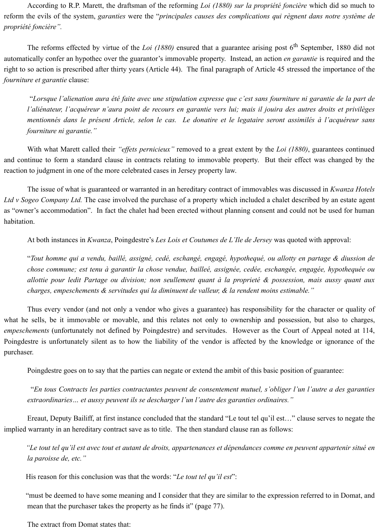According to R.P. Marett, the draftsman of the reforming *Loi (1880) sur la propriété foncière* which did so much to reform the evils of the system, *garanties* were the "*principales causes des complications qui règnent dans notre système de propriété foncière".*

The reforms effected by virtue of the *Loi (1880)* ensured that a guarantee arising post 6<sup>th</sup> September, 1880 did not automatically confer an hypothec over the guarantor's immovable property. Instead, an action *en garantie* is required and the right to so action is prescribed after thirty years (Article 44). The final paragraph of Article 45 stressed the importance of the *fourniture et garantie* clause:

 "*Lorsque l'alienation aura été faite avec une stipulation expresse que c'est sans fourniture ni garantie de la part de l'aliénateur, l'acquéreur n'aura point de recours en garantie vers lui; mais il jouira des autres droits et privilèges mentionnés dans le présent Article, selon le cas. Le donatire et le legataire seront assimilés à l'acquéreur sans fourniture ni garantie."*

With what Marett called their *"effets pernicieux"* removed to a great extent by the *Loi (1880)*, guarantees continued and continue to form a standard clause in contracts relating to immovable property. But their effect was changed by the reaction to judgment in one of the more celebrated cases in Jersey property law.

The issue of what is guaranteed or warranted in an hereditary contract of immovables was discussed in *Kwanza Hotels Ltd v Sogeo Company Ltd.* The case involved the purchase of a property which included a chalet described by an estate agent as "owner's accommodation". In fact the chalet had been erected without planning consent and could not be used for human habitation.

At both instances in *Kwanza*, Poingdestre's *Les Lois et Coutumes de L'Ile de Jersey* was quoted with approval:

"*Tout homme qui a vendu, baillé, assigné, cedé, eschangé, engagé, hypothequé, ou allotty en partage & diussion de chose commune; est tenu à garantir la chose vendue, bailleé, assignée, cedée, eschangée, engagée, hypothequée ou allottie pour ledit Partage ou division; non seullement quant à la proprieté & possession, mais aussy quant aux charges, empeschements & servitudes qui la diminuent de valleur, & la rendent moins estimable."*

Thus every vendor (and not only a vendor who gives a guarantee) has responsibility for the character or quality of what he sells, be it immovable or movable, and this relates not only to ownership and possession, but also to charges, *empeschements* (unfortunately not defined by Poingdestre) and servitudes. However as the Court of Appeal noted at 114, Poingdestre is unfortunately silent as to how the liability of the vendor is affected by the knowledge or ignorance of the purchaser.

Poingdestre goes on to say that the parties can negate or extend the ambit of this basic position of guarantee:

 "*En tous Contracts les parties contractantes peuvent de consentement mutuel, s'obliger l'un l'autre a des garanties extraordinaries… et aussy peuvent ils se descharger l'un l'autre des garanties ordinaires."*

Ereaut, Deputy Bailiff, at first instance concluded that the standard "Le tout tel qu'il est…" clause serves to negate the implied warranty in an hereditary contract save as to title. The then standard clause ran as follows:

 *"Le tout tel qu'il est avec tout et autant de droits, appartenances et dépendances comme en peuvent appartenir situé en la paroisse de, etc."*

His reason for this conclusion was that the words: "*Le tout tel qu'il est*":

 "must be deemed to have some meaning and I consider that they are similar to the expression referred to in Domat, and mean that the purchaser takes the property as he finds it" (page 77).

The extract from Domat states that: